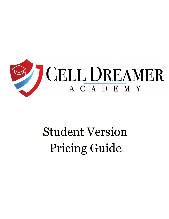

# Student Version Pricing Guide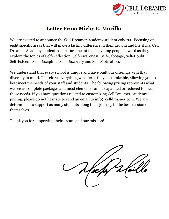

### **Letter From Michy E. Morillo**

We are excited to announce the Cell Dreamer Academy student cohorts. Focusing on eight specific areas that will make a lasting difference in their growth and life skills, Cell Dreamer Academy student cohorts are meant to lead young people inward as they explore the topics of Self-Reflection, Self-Awareness, Self-Sabotage, Self-Doubt, Self-Esteem, Self-Discipline, Self-Discovery and Self-Motivation.

We understand that every school is unique and have built our offerings with that diversity in mind. Therefore, everything we offer is fully customizable, allowing you to best meet the needs of your staff and students. The following pricing represents what we see as complete packages and most elements can be expanded or reduced to meet those needs. If you have questions related to customizing Cell Dreamer Academy pricing, please do not hesitate to send an email to info@celldreamer.com. We are determined to support as many students along their journey to the best version of themselves.

Thank you for supporting their dream and our mission!

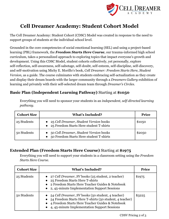

## **Cell Dreamer Academy: Student Cohort Model**

The Cell Dreamer Academy: Student Cohort (CDSC) Model was created in response to the need to support groups of students at the individual school level.

Grounded in the core competencies of social emotional learning (SEL) and using a project-based learning (PBL) framework, the *Freedom Starts Here Course*, our trauma-informed high school curriculum, takes a personalized approach to exploring topics that impact everyone's growth and development. Using this CDSC Model, student cohorts collectively, yet personally, explore self-reflection, self-awareness, self-sabotage, self-doubt, self-esteem, self-discipline, self-discovery, and self-motivation using Michy E. Morillo's book, *Cell Dreamer: Freedom Starts Here, Student Version,* as a guide. The course culminates with students embracing self-actualization as they create and display their dream boards with the larger community through a *Dreamers Gallery* exhibition of learning and privately with their self-selected dream team through *Dreamer's Circles*.

#### **Basic Plan (Independent Learning Pathway)** Starting at **\$1050**

Everything you will need to sponsor your students in an *independent, self-directed learning pathway*.

| <b>Cohort Size</b> | <b>What's Included?</b>                                                               | <b>Price</b> |
|--------------------|---------------------------------------------------------------------------------------|--------------|
| 25 Students        | • 25 Cell Dreamer, Student Version books<br>• 25 Freedom Starts Here student T-shirts | \$1050       |
| 50 Students        | 50 Cell Dreamer, Student Version books<br>50 Freedom Starts Here student T-shirts     | \$2050       |

#### **Extended Plan (Freedom Starts Here Course)** Starting at **\$1975**

Everything you will need to support your students in a classroom setting using the *Freedom Starts Here Course*.

| <b>Cohort Size</b> | <b>What's Included?</b>                                                                                                                                                                                         | <b>Price</b> |
|--------------------|-----------------------------------------------------------------------------------------------------------------------------------------------------------------------------------------------------------------|--------------|
| 25 Students        | • 27 Cell Dreamer, SV books (25 student, 2 teacher)<br>25 Freedom Starts Here T-shirts<br>• 2 Freedom Starts Here Teacher Guides & Notebook<br>• 2, 45-minute Implementation Support Sessions                   | \$1975       |
| 50 Students        | 54 Cell Dreamer, SV books (50 student, 4 teacher)<br>54 Freedom Starts Here T-shirts (50 student, 4 teacher)<br>4 Freedom Starts Here Teacher Guides & Notebook<br>4, 45-minute Implementation Support Sessions | \$3225       |

CDSV Pricing 2 of 3